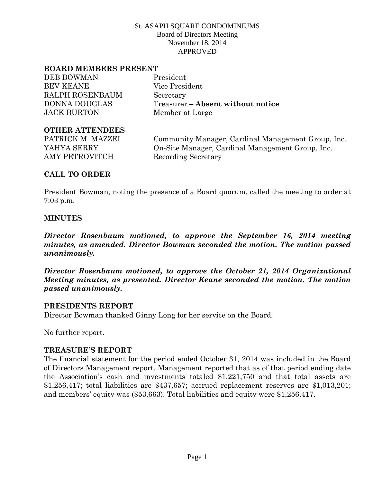#### **BOARD MEMBERS PRESENT**

DEB BOWMAN President BEV KEANE Vice President RALPH ROSENBAUM Secretary JACK BURTON Member at Large

DONNA DOUGLAS Treasurer – **Absent without notice**

#### **OTHER ATTENDEES**

AMY PETROVITCH Recording Secretary

PATRICK M. MAZZEI Community Manager, Cardinal Management Group, Inc. YAHYA SERRY On-Site Manager, Cardinal Management Group, Inc.

# **CALL TO ORDER**

President Bowman, noting the presence of a Board quorum, called the meeting to order at 7:03 p.m.

### **MINUTES**

*Director Rosenbaum motioned, to approve the September 16, 2014 meeting minutes, as amended. Director Bowman seconded the motion. The motion passed unanimously.*

*Director Rosenbaum motioned, to approve the October 21, 2014 Organizational Meeting minutes, as presented. Director Keane seconded the motion. The motion passed unanimously.*

### **PRESIDENTS REPORT**

Director Bowman thanked Ginny Long for her service on the Board.

No further report.

### **TREASURE'S REPORT**

The financial statement for the period ended October 31, 2014 was included in the Board of Directors Management report. Management reported that as of that period ending date the Association's cash and investments totaled \$1,221,750 and that total assets are \$1,256,417; total liabilities are \$437,657; accrued replacement reserves are \$1,013,201; and members' equity was (\$53,663). Total liabilities and equity were \$1,256,417.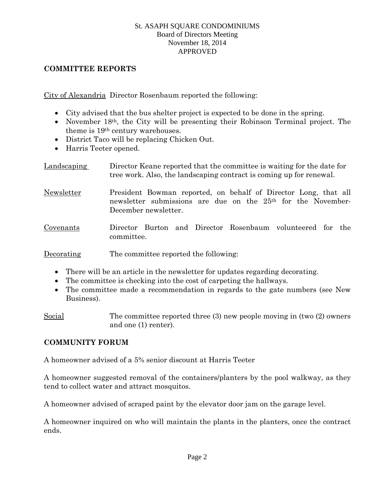### **COMMITTEE REPORTS**

City of Alexandria Director Rosenbaum reported the following:

- City advised that the bus shelter project is expected to be done in the spring.
- November 18<sup>th</sup>, the City will be presenting their Robinson Terminal project. The theme is 19th century warehouses.
- District Taco will be replacing Chicken Out.
- Harris Teeter opened.

Landscaping Director Keane reported that the committee is waiting for the date for tree work. Also, the landscaping contract is coming up for renewal.

- Newsletter President Bowman reported, on behalf of Director Long, that all newsletter submissions are due on the 25th for the November-December newsletter.
- Covenants Director Burton and Director Rosenbaum volunteered for the committee.

Decorating The committee reported the following:

- There will be an article in the newsletter for updates regarding decorating.
- The committee is checking into the cost of carpeting the hallways.
- The committee made a recommendation in regards to the gate numbers (see New Business).

Social The committee reported three (3) new people moving in (two (2) owners and one (1) renter).

# **COMMUNITY FORUM**

A homeowner advised of a 5% senior discount at Harris Teeter

A homeowner suggested removal of the containers/planters by the pool walkway, as they tend to collect water and attract mosquitos.

A homeowner advised of scraped paint by the elevator door jam on the garage level.

A homeowner inquired on who will maintain the plants in the planters, once the contract ends.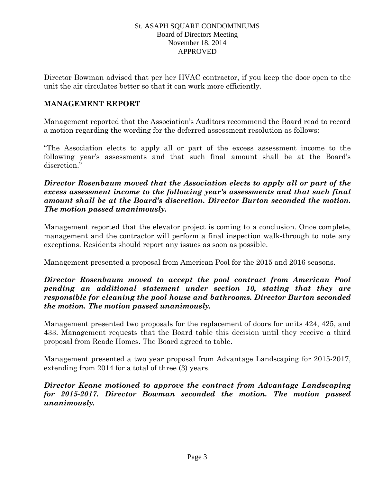Director Bowman advised that per her HVAC contractor, if you keep the door open to the unit the air circulates better so that it can work more efficiently.

### **MANAGEMENT REPORT**

Management reported that the Association's Auditors recommend the Board read to record a motion regarding the wording for the deferred assessment resolution as follows:

"The Association elects to apply all or part of the excess assessment income to the following year's assessments and that such final amount shall be at the Board's discretion."

### *Director Rosenbaum moved that the Association elects to apply all or part of the excess assessment income to the following year's assessments and that such final amount shall be at the Board's discretion. Director Burton seconded the motion. The motion passed unanimously.*

Management reported that the elevator project is coming to a conclusion. Once complete, management and the contractor will perform a final inspection walk-through to note any exceptions. Residents should report any issues as soon as possible.

Management presented a proposal from American Pool for the 2015 and 2016 seasons.

# *Director Rosenbaum moved to accept the pool contract from American Pool pending an additional statement under section 10, stating that they are responsible for cleaning the pool house and bathrooms. Director Burton seconded the motion. The motion passed unanimously.*

Management presented two proposals for the replacement of doors for units 424, 425, and 433. Management requests that the Board table this decision until they receive a third proposal from Reade Homes. The Board agreed to table.

Management presented a two year proposal from Advantage Landscaping for 2015-2017, extending from 2014 for a total of three (3) years.

# *Director Keane motioned to approve the contract from Advantage Landscaping for 2015-2017. Director Bowman seconded the motion. The motion passed unanimously.*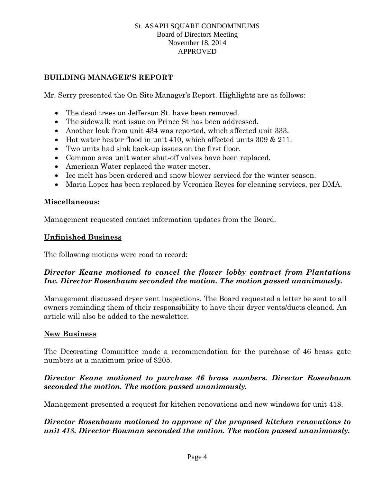# **BUILDING MANAGER'S REPORT**

Mr. Serry presented the On-Site Manager's Report. Highlights are as follows:

- The dead trees on Jefferson St. have been removed.
- The sidewalk root issue on Prince St has been addressed.
- Another leak from unit 434 was reported, which affected unit 333.
- Hot water heater flood in unit 410, which affected units 309 & 211.
- Two units had sink back-up issues on the first floor.
- Common area unit water shut-off valves have been replaced.
- American Water replaced the water meter.
- Ice melt has been ordered and snow blower serviced for the winter season.
- Maria Lopez has been replaced by Veronica Reyes for cleaning services, per DMA.

#### **Miscellaneous:**

Management requested contact information updates from the Board.

#### **Unfinished Business**

The following motions were read to record:

# *Director Keane motioned to cancel the flower lobby contract from Plantations Inc. Director Rosenbaum seconded the motion. The motion passed unanimously.*

Management discussed dryer vent inspections. The Board requested a letter be sent to all owners reminding them of their responsibility to have their dryer vents/ducts cleaned. An article will also be added to the newsletter.

### **New Business**

The Decorating Committee made a recommendation for the purchase of 46 brass gate numbers at a maximum price of \$205.

# *Director Keane motioned to purchase 46 brass numbers. Director Rosenbaum seconded the motion. The motion passed unanimously.*

Management presented a request for kitchen renovations and new windows for unit 418.

# *Director Rosenbaum motioned to approve of the proposed kitchen renovations to unit 418. Director Bowman seconded the motion. The motion passed unanimously.*